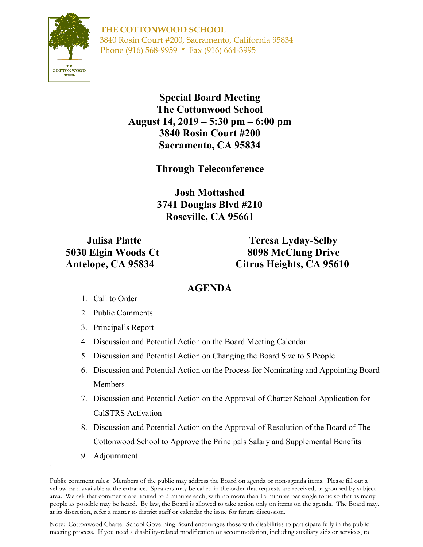

**THE COTTONWOOD SCHOOL** 3840 Rosin Court #200, Sacramento, California 95834 Phone (916) 568-9959 \* Fax (916) 664-3995

> **Special Board Meeting The Cottonwood School August 14, 2019 – 5:30 pm – 6:00 pm 3840 Rosin Court #200 Sacramento, CA 95834**

> > **Through Teleconference**

**Josh Mottashed 3741 Douglas Blvd #210 Roseville, CA 95661**

**Julisa Platte Teresa Lyday-Selby 5030 Elgin Woods Ct 8098 McClung Drive Antelope, CA 95834 Citrus Heights, CA 95610**

## **AGENDA**

- 1. Call to Order
- 2. Public Comments
- 3. Principal's Report
- 4. Discussion and Potential Action on the Board Meeting Calendar
- 5. Discussion and Potential Action on Changing the Board Size to 5 People
- 6. Discussion and Potential Action on the Process for Nominating and Appointing Board Members
- 7. Discussion and Potential Action on the Approval of Charter School Application for CalSTRS Activation
- 8. Discussion and Potential Action on the Approval of Resolution of the Board of The Cottonwood School to Approve the Principals Salary and Supplemental Benefits
- 9. Adjournment

Public comment rules: Members of the public may address the Board on agenda or non-agenda items. Please fill out a yellow card available at the entrance. Speakers may be called in the order that requests are received, or grouped by subject area. We ask that comments are limited to 2 minutes each, with no more than 15 minutes per single topic so that as many people as possible may be heard. By law, the Board is allowed to take action only on items on the agenda. The Board may, at its discretion, refer a matter to district staff or calendar the issue for future discussion.

Note: Cottonwood Charter School Governing Board encourages those with disabilities to participate fully in the public meeting process. If you need a disability-related modification or accommodation, including auxiliary aids or services, to